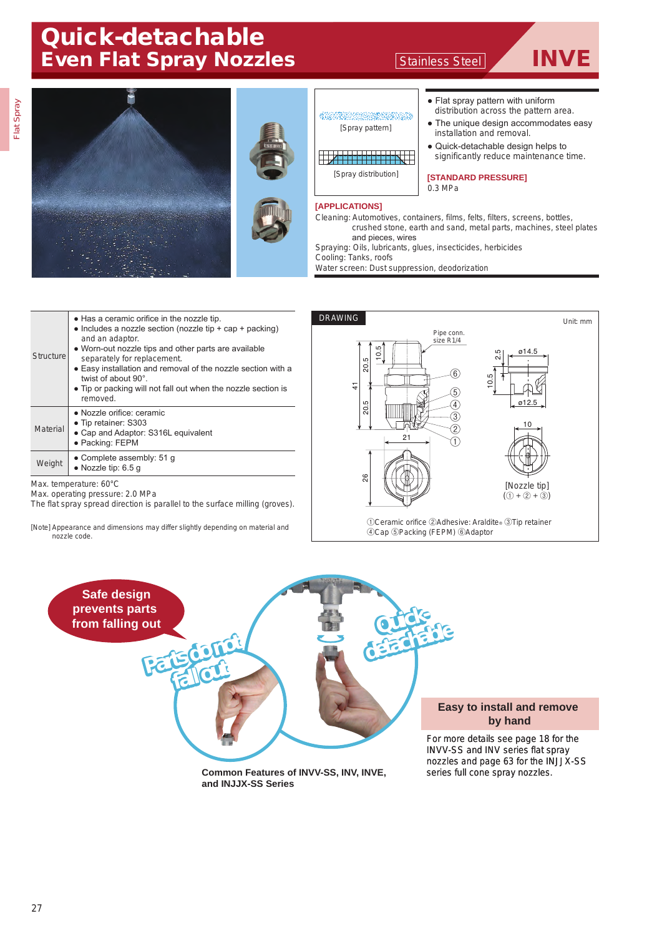## Quick-detachable Even Flat Spray Nozzles Stainless Steel TINVE



Water screen: Dust suppression, deodorization

| <b>Structure</b> | • Has a ceramic orifice in the nozzle tip.<br>• Includes a nozzle section (nozzle tip $+$ cap $+$ packing)<br>and an adaptor.<br>• Worn-out nozzle tips and other parts are available<br>separately for replacement.<br>• Easy installation and removal of the nozzle section with a<br>twist of about 90°<br>• Tip or packing will not fall out when the nozzle section is<br>removed. |
|------------------|-----------------------------------------------------------------------------------------------------------------------------------------------------------------------------------------------------------------------------------------------------------------------------------------------------------------------------------------------------------------------------------------|
| Material         | • Nozzle orifice: ceramic<br>• Tip retainer: S303<br>• Cap and Adaptor: S316L equivalent<br>• Packing: FEPM                                                                                                                                                                                                                                                                             |
| Weight           | • Complete assembly: $51$ q<br>$\bullet$ Nozzle tip: 6.5 q                                                                                                                                                                                                                                                                                                                              |
|                  |                                                                                                                                                                                                                                                                                                                                                                                         |

Max. temperature: 60°C

Max. operating pressure: 2.0 MPa

The flat spray spread direction is parallel to the surface milling (groves).

[Note] Appearance and dimensions may differ slightly depending on material and nozzle code.



①Ceramic orifice ②Adhesive: Araldite® ③Tip retainer ④Cap ⑤Packing (FEPM) ⑥Adaptor